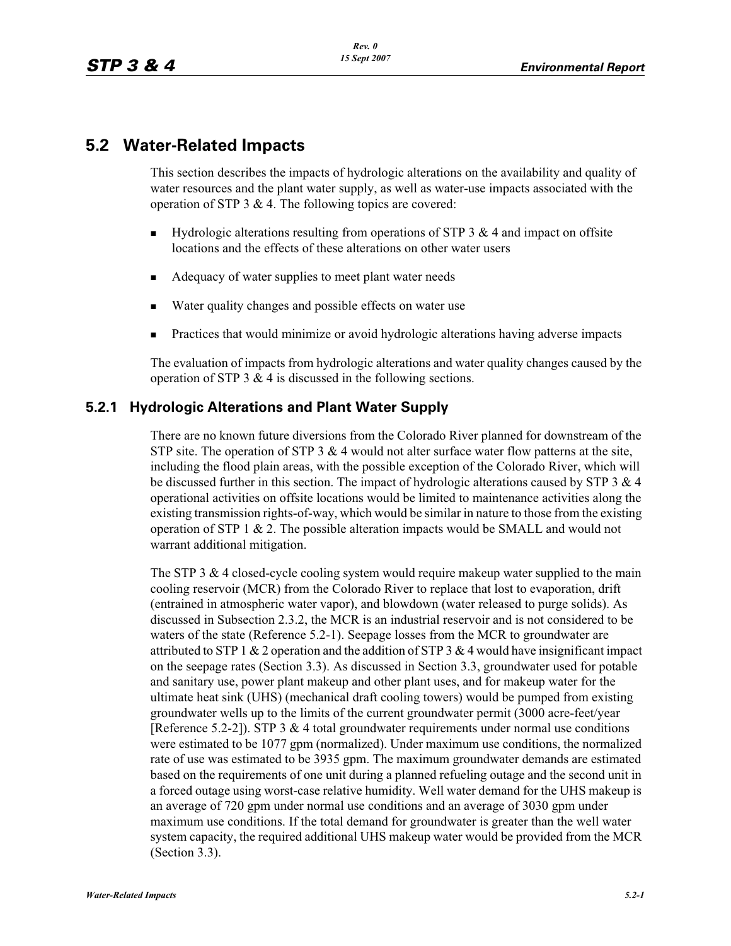# **5.2 Water-Related Impacts**

This section describes the impacts of hydrologic alterations on the availability and quality of water resources and the plant water supply, as well as water-use impacts associated with the operation of STP  $3 \& 4$ . The following topics are covered:

- - Hydrologic alterations resulting from operations of STP 3 & 4 and impact on offsite locations and the effects of these alterations on other water users
- -Adequacy of water supplies to meet plant water needs
- -Water quality changes and possible effects on water use
- -Practices that would minimize or avoid hydrologic alterations having adverse impacts

The evaluation of impacts from hydrologic alterations and water quality changes caused by the operation of STP 3  $\&$  4 is discussed in the following sections.

# **5.2.1 Hydrologic Alterations and Plant Water Supply**

There are no known future diversions from the Colorado River planned for downstream of the STP site. The operation of STP 3  $&$  4 would not alter surface water flow patterns at the site, including the flood plain areas, with the possible exception of the Colorado River, which will be discussed further in this section. The impact of hydrologic alterations caused by STP  $3 \& 4$ operational activities on offsite locations would be limited to maintenance activities along the existing transmission rights-of-way, which would be similar in nature to those from the existing operation of STP  $1 \& 2$ . The possible alteration impacts would be SMALL and would not warrant additional mitigation.

The STP 3  $&$  4 closed-cycle cooling system would require makeup water supplied to the main cooling reservoir (MCR) from the Colorado River to replace that lost to evaporation, drift (entrained in atmospheric water vapor), and blowdown (water released to purge solids). As discussed in Subsection 2.3.2, the MCR is an industrial reservoir and is not considered to be waters of the state (Reference 5.2-1). Seepage losses from the MCR to groundwater are attributed to STP 1 & 2 operation and the addition of STP 3 & 4 would have insignificant impact on the seepage rates (Section 3.3). As discussed in Section 3.3, groundwater used for potable and sanitary use, power plant makeup and other plant uses, and for makeup water for the ultimate heat sink (UHS) (mechanical draft cooling towers) would be pumped from existing groundwater wells up to the limits of the current groundwater permit (3000 acre-feet/year [Reference 5.2-2]). STP 3  $\&$  4 total groundwater requirements under normal use conditions were estimated to be 1077 gpm (normalized). Under maximum use conditions, the normalized rate of use was estimated to be 3935 gpm. The maximum groundwater demands are estimated based on the requirements of one unit during a planned refueling outage and the second unit in a forced outage using worst-case relative humidity. Well water demand for the UHS makeup is an average of 720 gpm under normal use conditions and an average of 3030 gpm under maximum use conditions. If the total demand for groundwater is greater than the well water system capacity, the required additional UHS makeup water would be provided from the MCR (Section 3.3).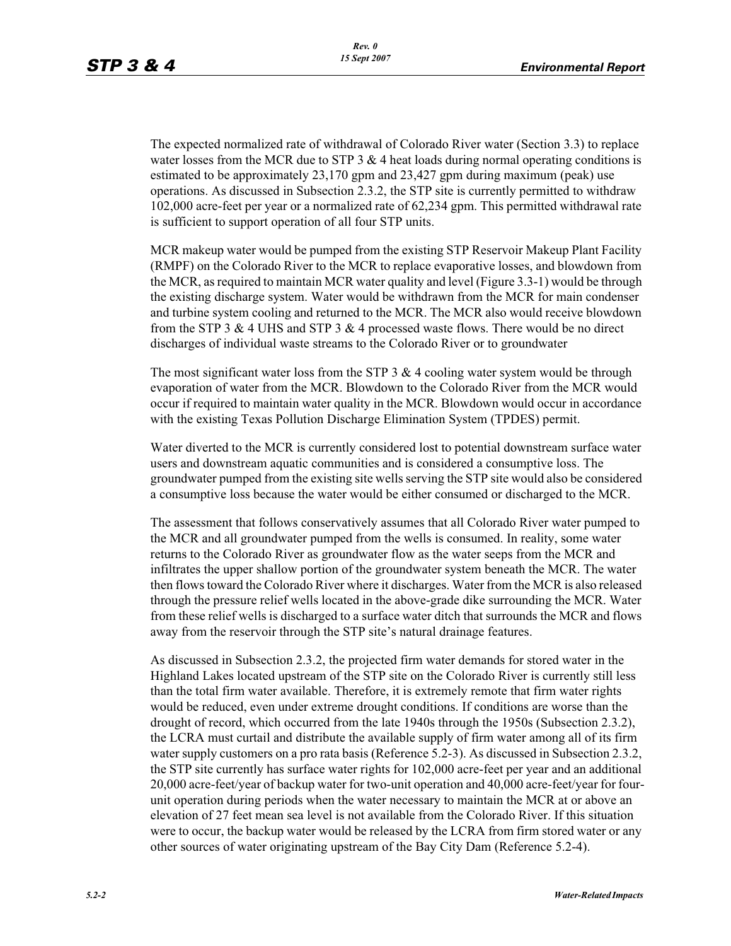The expected normalized rate of withdrawal of Colorado River water (Section 3.3) to replace water losses from the MCR due to STP  $3 \& 4$  heat loads during normal operating conditions is estimated to be approximately 23,170 gpm and 23,427 gpm during maximum (peak) use operations. As discussed in Subsection 2.3.2, the STP site is currently permitted to withdraw 102,000 acre-feet per year or a normalized rate of 62,234 gpm. This permitted withdrawal rate is sufficient to support operation of all four STP units.

MCR makeup water would be pumped from the existing STP Reservoir Makeup Plant Facility (RMPF) on the Colorado River to the MCR to replace evaporative losses, and blowdown from the MCR, as required to maintain MCR water quality and level (Figure 3.3-1) would be through the existing discharge system. Water would be withdrawn from the MCR for main condenser and turbine system cooling and returned to the MCR. The MCR also would receive blowdown from the STP 3 & 4 UHS and STP 3 & 4 processed waste flows. There would be no direct discharges of individual waste streams to the Colorado River or to groundwater

The most significant water loss from the STP  $3 \& 4$  cooling water system would be through evaporation of water from the MCR. Blowdown to the Colorado River from the MCR would occur if required to maintain water quality in the MCR. Blowdown would occur in accordance with the existing Texas Pollution Discharge Elimination System (TPDES) permit.

Water diverted to the MCR is currently considered lost to potential downstream surface water users and downstream aquatic communities and is considered a consumptive loss. The groundwater pumped from the existing site wells serving the STP site would also be considered a consumptive loss because the water would be either consumed or discharged to the MCR.

The assessment that follows conservatively assumes that all Colorado River water pumped to the MCR and all groundwater pumped from the wells is consumed. In reality, some water returns to the Colorado River as groundwater flow as the water seeps from the MCR and infiltrates the upper shallow portion of the groundwater system beneath the MCR. The water then flows toward the Colorado River where it discharges. Water from the MCR is also released through the pressure relief wells located in the above-grade dike surrounding the MCR. Water from these relief wells is discharged to a surface water ditch that surrounds the MCR and flows away from the reservoir through the STP site's natural drainage features.

As discussed in Subsection 2.3.2, the projected firm water demands for stored water in the Highland Lakes located upstream of the STP site on the Colorado River is currently still less than the total firm water available. Therefore, it is extremely remote that firm water rights would be reduced, even under extreme drought conditions. If conditions are worse than the drought of record, which occurred from the late 1940s through the 1950s (Subsection 2.3.2), the LCRA must curtail and distribute the available supply of firm water among all of its firm water supply customers on a pro rata basis (Reference 5.2-3). As discussed in Subsection 2.3.2, the STP site currently has surface water rights for 102,000 acre-feet per year and an additional 20,000 acre-feet/year of backup water for two-unit operation and 40,000 acre-feet/year for fourunit operation during periods when the water necessary to maintain the MCR at or above an elevation of 27 feet mean sea level is not available from the Colorado River. If this situation were to occur, the backup water would be released by the LCRA from firm stored water or any other sources of water originating upstream of the Bay City Dam (Reference 5.2-4).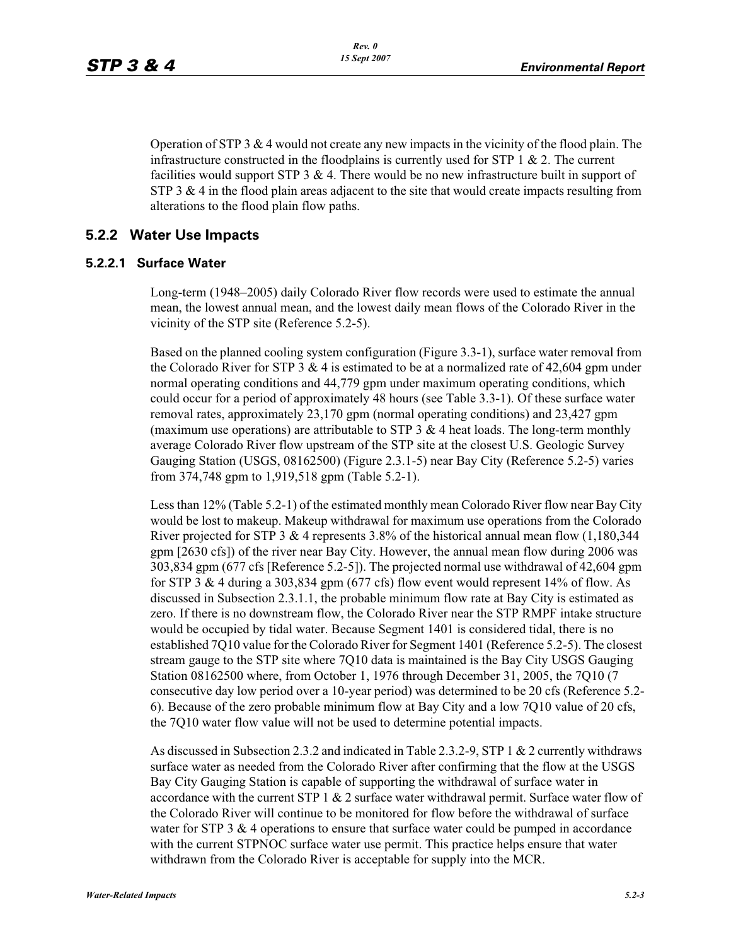Operation of STP 3  $\&$  4 would not create any new impacts in the vicinity of the flood plain. The infrastructure constructed in the floodplains is currently used for STP 1  $\&$  2. The current facilities would support STP  $3 \& 4$ . There would be no new infrastructure built in support of STP 3  $\&$  4 in the flood plain areas adjacent to the site that would create impacts resulting from alterations to the flood plain flow paths.

## **5.2.2 Water Use Impacts**

#### **5.2.2.1 Surface Water**

Long-term (1948–2005) daily Colorado River flow records were used to estimate the annual mean, the lowest annual mean, and the lowest daily mean flows of the Colorado River in the vicinity of the STP site (Reference 5.2-5).

Based on the planned cooling system configuration (Figure 3.3-1), surface water removal from the Colorado River for STP 3  $&$  4 is estimated to be at a normalized rate of 42,604 gpm under normal operating conditions and 44,779 gpm under maximum operating conditions, which could occur for a period of approximately 48 hours (see Table 3.3-1). Of these surface water removal rates, approximately 23,170 gpm (normal operating conditions) and 23,427 gpm (maximum use operations) are attributable to STP 3  $\&$  4 heat loads. The long-term monthly average Colorado River flow upstream of the STP site at the closest U.S. Geologic Survey Gauging Station (USGS, 08162500) (Figure 2.3.1-5) near Bay City (Reference 5.2-5) varies from 374,748 gpm to 1,919,518 gpm (Table 5.2-1).

Less than 12% (Table 5.2-1) of the estimated monthly mean Colorado River flow near Bay City would be lost to makeup. Makeup withdrawal for maximum use operations from the Colorado River projected for STP 3 & 4 represents 3.8% of the historical annual mean flow  $(1,180,344)$ gpm [2630 cfs]) of the river near Bay City. However, the annual mean flow during 2006 was 303,834 gpm (677 cfs [Reference 5.2-5]). The projected normal use withdrawal of 42,604 gpm for STP 3  $\&$  4 during a 303,834 gpm (677 cfs) flow event would represent 14% of flow. As discussed in Subsection 2.3.1.1, the probable minimum flow rate at Bay City is estimated as zero. If there is no downstream flow, the Colorado River near the STP RMPF intake structure would be occupied by tidal water. Because Segment 1401 is considered tidal, there is no established 7Q10 value for the Colorado River for Segment 1401 (Reference 5.2-5). The closest stream gauge to the STP site where 7Q10 data is maintained is the Bay City USGS Gauging Station 08162500 where, from October 1, 1976 through December 31, 2005, the 7Q10 (7 consecutive day low period over a 10-year period) was determined to be 20 cfs (Reference 5.2- 6). Because of the zero probable minimum flow at Bay City and a low 7Q10 value of 20 cfs, the 7Q10 water flow value will not be used to determine potential impacts.

As discussed in Subsection 2.3.2 and indicated in Table 2.3.2-9, STP 1 & 2 currently withdraws surface water as needed from the Colorado River after confirming that the flow at the USGS Bay City Gauging Station is capable of supporting the withdrawal of surface water in accordance with the current STP 1  $& 2$  surface water withdrawal permit. Surface water flow of the Colorado River will continue to be monitored for flow before the withdrawal of surface water for STP  $3 \& 4$  operations to ensure that surface water could be pumped in accordance with the current STPNOC surface water use permit. This practice helps ensure that water withdrawn from the Colorado River is acceptable for supply into the MCR.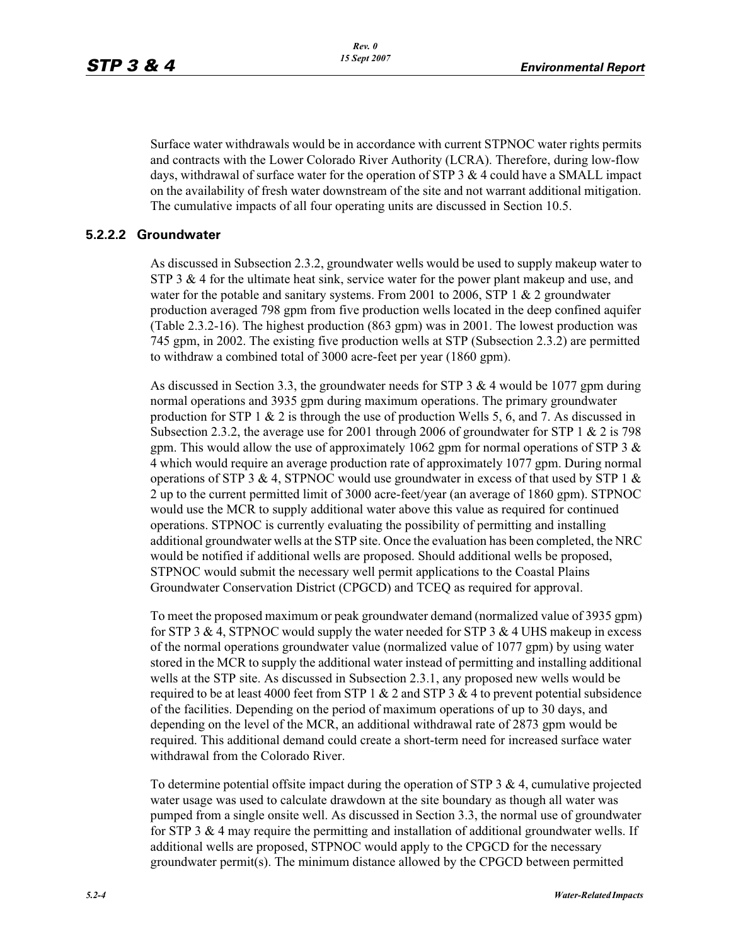Surface water withdrawals would be in accordance with current STPNOC water rights permits and contracts with the Lower Colorado River Authority (LCRA). Therefore, during low-flow days, withdrawal of surface water for the operation of STP 3 & 4 could have a SMALL impact on the availability of fresh water downstream of the site and not warrant additional mitigation. The cumulative impacts of all four operating units are discussed in Section 10.5.

#### **5.2.2.2 Groundwater**

As discussed in Subsection 2.3.2, groundwater wells would be used to supply makeup water to STP 3  $\&$  4 for the ultimate heat sink, service water for the power plant makeup and use, and water for the potable and sanitary systems. From 2001 to 2006, STP  $1 \& 2$  groundwater production averaged 798 gpm from five production wells located in the deep confined aquifer (Table 2.3.2-16). The highest production (863 gpm) was in 2001. The lowest production was 745 gpm, in 2002. The existing five production wells at STP (Subsection 2.3.2) are permitted to withdraw a combined total of 3000 acre-feet per year (1860 gpm).

As discussed in Section 3.3, the groundwater needs for STP  $3 \& 4$  would be 1077 gpm during normal operations and 3935 gpm during maximum operations. The primary groundwater production for STP 1  $\&$  2 is through the use of production Wells 5, 6, and 7. As discussed in Subsection 2.3.2, the average use for 2001 through 2006 of groundwater for STP 1  $\&$  2 is 798 gpm. This would allow the use of approximately 1062 gpm for normal operations of STP 3  $\&$ 4 which would require an average production rate of approximately 1077 gpm. During normal operations of STP 3 & 4, STPNOC would use groundwater in excess of that used by STP 1  $\&$ 2 up to the current permitted limit of 3000 acre-feet/year (an average of 1860 gpm). STPNOC would use the MCR to supply additional water above this value as required for continued operations. STPNOC is currently evaluating the possibility of permitting and installing additional groundwater wells at the STP site. Once the evaluation has been completed, the NRC would be notified if additional wells are proposed. Should additional wells be proposed, STPNOC would submit the necessary well permit applications to the Coastal Plains Groundwater Conservation District (CPGCD) and TCEQ as required for approval.

To meet the proposed maximum or peak groundwater demand (normalized value of 3935 gpm) for STP 3 & 4, STPNOC would supply the water needed for STP 3 & 4 UHS makeup in excess of the normal operations groundwater value (normalized value of 1077 gpm) by using water stored in the MCR to supply the additional water instead of permitting and installing additional wells at the STP site. As discussed in Subsection 2.3.1, any proposed new wells would be required to be at least 4000 feet from STP 1  $\&$  2 and STP 3  $\&$  4 to prevent potential subsidence of the facilities. Depending on the period of maximum operations of up to 30 days, and depending on the level of the MCR, an additional withdrawal rate of 2873 gpm would be required. This additional demand could create a short-term need for increased surface water withdrawal from the Colorado River.

To determine potential offsite impact during the operation of STP  $3 \& 4$ , cumulative projected water usage was used to calculate drawdown at the site boundary as though all water was pumped from a single onsite well. As discussed in Section 3.3, the normal use of groundwater for STP 3  $\&$  4 may require the permitting and installation of additional groundwater wells. If additional wells are proposed, STPNOC would apply to the CPGCD for the necessary groundwater permit(s). The minimum distance allowed by the CPGCD between permitted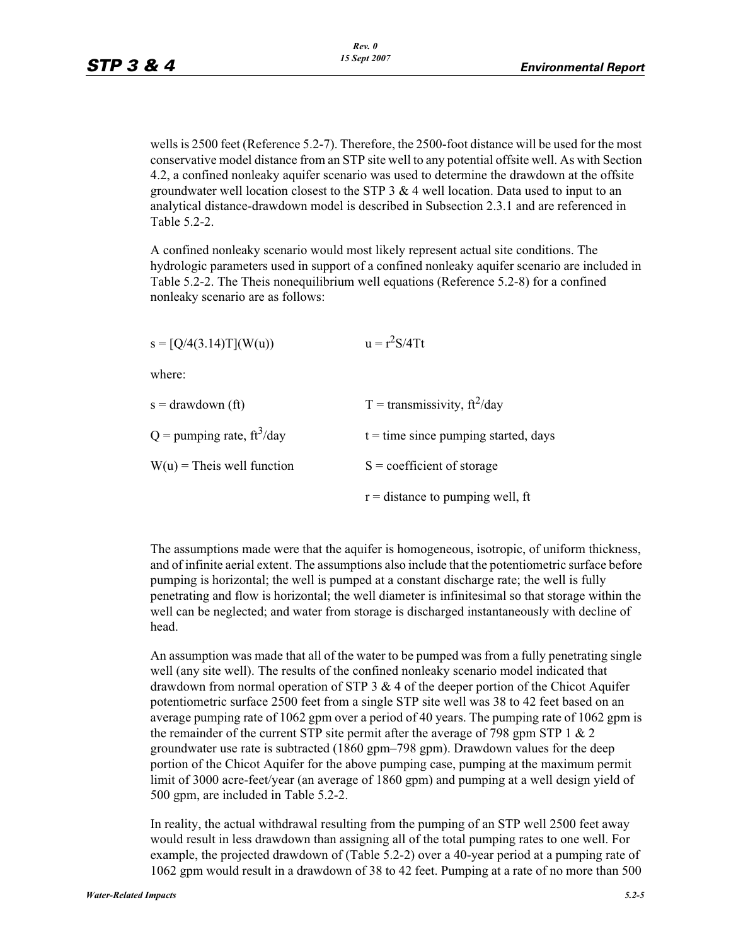wells is 2500 feet (Reference 5.2-7). Therefore, the 2500-foot distance will be used for the most conservative model distance from an STP site well to any potential offsite well. As with Section 4.2, a confined nonleaky aquifer scenario was used to determine the drawdown at the offsite groundwater well location closest to the STP  $3 \& 4$  well location. Data used to input to an analytical distance-drawdown model is described in Subsection 2.3.1 and are referenced in Table 5.2-2.

A confined nonleaky scenario would most likely represent actual site conditions. The hydrologic parameters used in support of a confined nonleaky aquifer scenario are included in Table 5.2-2. The Theis nonequilibrium well equations (Reference 5.2-8) for a confined nonleaky scenario are as follows:

| $s = [Q/4(3.14)T](W(u))$                 | $u = r^2S/4Tt$                         |
|------------------------------------------|----------------------------------------|
| where:                                   |                                        |
| $s =$ drawdown (ft)                      | T = transmissivity, $ft^2$ /day        |
| $Q =$ pumping rate, ft <sup>3</sup> /day | $t =$ time since pumping started, days |
| $W(u)$ = Theis well function             | $S =$ coefficient of storage           |
|                                          | $r =$ distance to pumping well, ft     |

The assumptions made were that the aquifer is homogeneous, isotropic, of uniform thickness, and of infinite aerial extent. The assumptions also include that the potentiometric surface before pumping is horizontal; the well is pumped at a constant discharge rate; the well is fully penetrating and flow is horizontal; the well diameter is infinitesimal so that storage within the well can be neglected; and water from storage is discharged instantaneously with decline of head.

An assumption was made that all of the water to be pumped was from a fully penetrating single well (any site well). The results of the confined nonleaky scenario model indicated that drawdown from normal operation of STP  $3 \& 4$  of the deeper portion of the Chicot Aquifer potentiometric surface 2500 feet from a single STP site well was 38 to 42 feet based on an average pumping rate of 1062 gpm over a period of 40 years. The pumping rate of 1062 gpm is the remainder of the current STP site permit after the average of 798 gpm STP  $1 \& 2$ groundwater use rate is subtracted (1860 gpm–798 gpm). Drawdown values for the deep portion of the Chicot Aquifer for the above pumping case, pumping at the maximum permit limit of 3000 acre-feet/year (an average of 1860 gpm) and pumping at a well design yield of 500 gpm, are included in Table 5.2-2.

In reality, the actual withdrawal resulting from the pumping of an STP well 2500 feet away would result in less drawdown than assigning all of the total pumping rates to one well. For example, the projected drawdown of (Table 5.2-2) over a 40-year period at a pumping rate of 1062 gpm would result in a drawdown of 38 to 42 feet. Pumping at a rate of no more than 500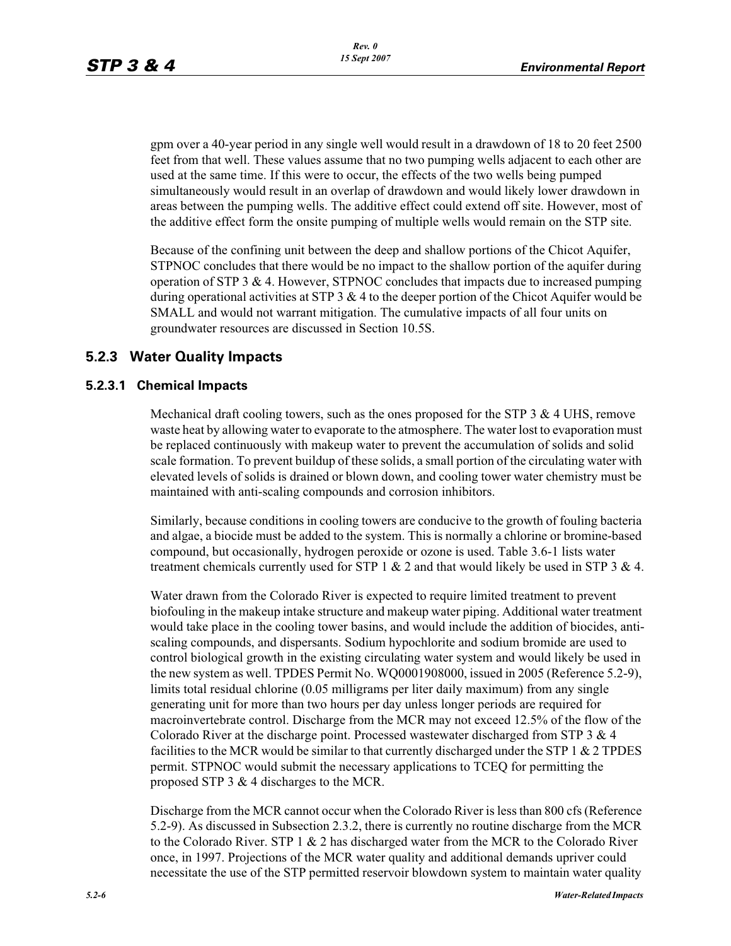gpm over a 40-year period in any single well would result in a drawdown of 18 to 20 feet 2500 feet from that well. These values assume that no two pumping wells adjacent to each other are used at the same time. If this were to occur, the effects of the two wells being pumped simultaneously would result in an overlap of drawdown and would likely lower drawdown in areas between the pumping wells. The additive effect could extend off site. However, most of the additive effect form the onsite pumping of multiple wells would remain on the STP site.

Because of the confining unit between the deep and shallow portions of the Chicot Aquifer, STPNOC concludes that there would be no impact to the shallow portion of the aquifer during operation of STP  $3 \& 4$ . However, STPNOC concludes that impacts due to increased pumping during operational activities at STP 3  $& 4$  to the deeper portion of the Chicot Aquifer would be SMALL and would not warrant mitigation. The cumulative impacts of all four units on groundwater resources are discussed in Section 10.5S.

# **5.2.3 Water Quality Impacts**

## **5.2.3.1 Chemical Impacts**

Mechanical draft cooling towers, such as the ones proposed for the STP 3  $\&$  4 UHS, remove waste heat by allowing water to evaporate to the atmosphere. The water lost to evaporation must be replaced continuously with makeup water to prevent the accumulation of solids and solid scale formation. To prevent buildup of these solids, a small portion of the circulating water with elevated levels of solids is drained or blown down, and cooling tower water chemistry must be maintained with anti-scaling compounds and corrosion inhibitors.

Similarly, because conditions in cooling towers are conducive to the growth of fouling bacteria and algae, a biocide must be added to the system. This is normally a chlorine or bromine-based compound, but occasionally, hydrogen peroxide or ozone is used. Table 3.6-1 lists water treatment chemicals currently used for STP 1  $& 2$  and that would likely be used in STP 3  $& 4$ .

Water drawn from the Colorado River is expected to require limited treatment to prevent biofouling in the makeup intake structure and makeup water piping. Additional water treatment would take place in the cooling tower basins, and would include the addition of biocides, antiscaling compounds, and dispersants. Sodium hypochlorite and sodium bromide are used to control biological growth in the existing circulating water system and would likely be used in the new system as well. TPDES Permit No. WQ0001908000, issued in 2005 (Reference 5.2-9), limits total residual chlorine (0.05 milligrams per liter daily maximum) from any single generating unit for more than two hours per day unless longer periods are required for macroinvertebrate control. Discharge from the MCR may not exceed 12.5% of the flow of the Colorado River at the discharge point. Processed wastewater discharged from STP 3 & 4 facilities to the MCR would be similar to that currently discharged under the STP 1 & 2 TPDES permit. STPNOC would submit the necessary applications to TCEQ for permitting the proposed STP 3 & 4 discharges to the MCR.

Discharge from the MCR cannot occur when the Colorado River is less than 800 cfs (Reference 5.2-9). As discussed in Subsection 2.3.2, there is currently no routine discharge from the MCR to the Colorado River. STP 1 & 2 has discharged water from the MCR to the Colorado River once, in 1997. Projections of the MCR water quality and additional demands upriver could necessitate the use of the STP permitted reservoir blowdown system to maintain water quality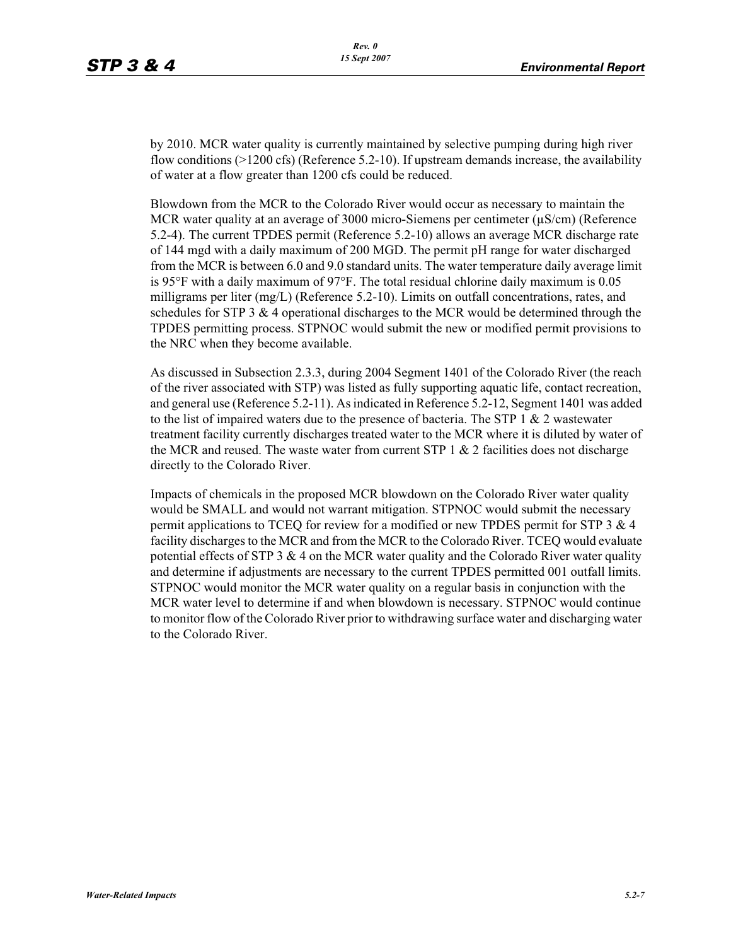by 2010. MCR water quality is currently maintained by selective pumping during high river flow conditions (>1200 cfs) (Reference 5.2-10). If upstream demands increase, the availability of water at a flow greater than 1200 cfs could be reduced.

Blowdown from the MCR to the Colorado River would occur as necessary to maintain the MCR water quality at an average of 3000 micro-Siemens per centimeter (μS/cm) (Reference 5.2-4). The current TPDES permit (Reference 5.2-10) allows an average MCR discharge rate of 144 mgd with a daily maximum of 200 MGD. The permit pH range for water discharged from the MCR is between 6.0 and 9.0 standard units. The water temperature daily average limit is 95°F with a daily maximum of 97°F. The total residual chlorine daily maximum is 0.05 milligrams per liter (mg/L) (Reference 5.2-10). Limits on outfall concentrations, rates, and schedules for STP 3 & 4 operational discharges to the MCR would be determined through the TPDES permitting process. STPNOC would submit the new or modified permit provisions to the NRC when they become available.

As discussed in Subsection 2.3.3, during 2004 Segment 1401 of the Colorado River (the reach of the river associated with STP) was listed as fully supporting aquatic life, contact recreation, and general use (Reference 5.2-11). As indicated in Reference 5.2-12, Segment 1401 was added to the list of impaired waters due to the presence of bacteria. The STP  $1 \& 2$  wastewater treatment facility currently discharges treated water to the MCR where it is diluted by water of the MCR and reused. The waste water from current STP  $1 \& 2$  facilities does not discharge directly to the Colorado River.

Impacts of chemicals in the proposed MCR blowdown on the Colorado River water quality would be SMALL and would not warrant mitigation. STPNOC would submit the necessary permit applications to TCEQ for review for a modified or new TPDES permit for STP 3 & 4 facility discharges to the MCR and from the MCR to the Colorado River. TCEQ would evaluate potential effects of STP 3  $\&$  4 on the MCR water quality and the Colorado River water quality and determine if adjustments are necessary to the current TPDES permitted 001 outfall limits. STPNOC would monitor the MCR water quality on a regular basis in conjunction with the MCR water level to determine if and when blowdown is necessary. STPNOC would continue to monitor flow of the Colorado River prior to withdrawing surface water and discharging water to the Colorado River.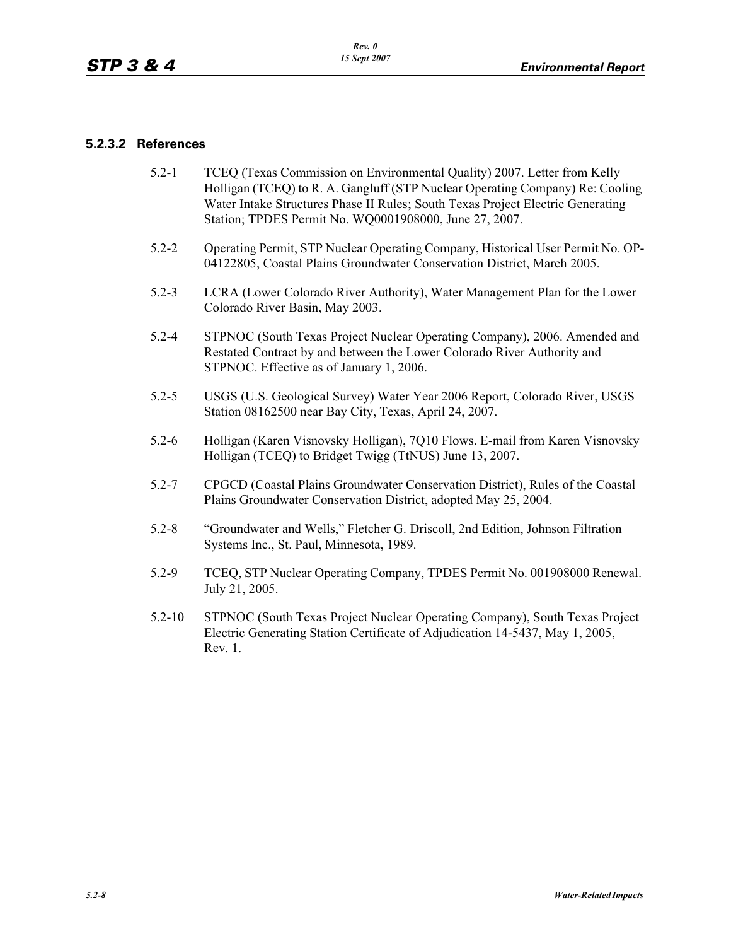## **5.2.3.2 References**

- 5.2-1 TCEQ (Texas Commission on Environmental Quality) 2007. Letter from Kelly Holligan (TCEQ) to R. A. Gangluff (STP Nuclear Operating Company) Re: Cooling Water Intake Structures Phase II Rules; South Texas Project Electric Generating Station; TPDES Permit No. WQ0001908000, June 27, 2007.
- 5.2-2 Operating Permit, STP Nuclear Operating Company, Historical User Permit No. OP-04122805, Coastal Plains Groundwater Conservation District, March 2005.
- 5.2-3 LCRA (Lower Colorado River Authority), Water Management Plan for the Lower Colorado River Basin, May 2003.
- 5.2-4 STPNOC (South Texas Project Nuclear Operating Company), 2006. Amended and Restated Contract by and between the Lower Colorado River Authority and STPNOC. Effective as of January 1, 2006.
- 5.2-5 USGS (U.S. Geological Survey) Water Year 2006 Report, Colorado River, USGS Station 08162500 near Bay City, Texas, April 24, 2007.
- 5.2-6 Holligan (Karen Visnovsky Holligan), 7Q10 Flows. E-mail from Karen Visnovsky Holligan (TCEQ) to Bridget Twigg (TtNUS) June 13, 2007.
- 5.2-7 CPGCD (Coastal Plains Groundwater Conservation District), Rules of the Coastal Plains Groundwater Conservation District, adopted May 25, 2004.
- 5.2-8 "Groundwater and Wells," Fletcher G. Driscoll, 2nd Edition, Johnson Filtration Systems Inc., St. Paul, Minnesota, 1989.
- 5.2-9 TCEQ, STP Nuclear Operating Company, TPDES Permit No. 001908000 Renewal. July 21, 2005.
- 5.2-10 STPNOC (South Texas Project Nuclear Operating Company), South Texas Project Electric Generating Station Certificate of Adjudication 14-5437, May 1, 2005, Rev. 1.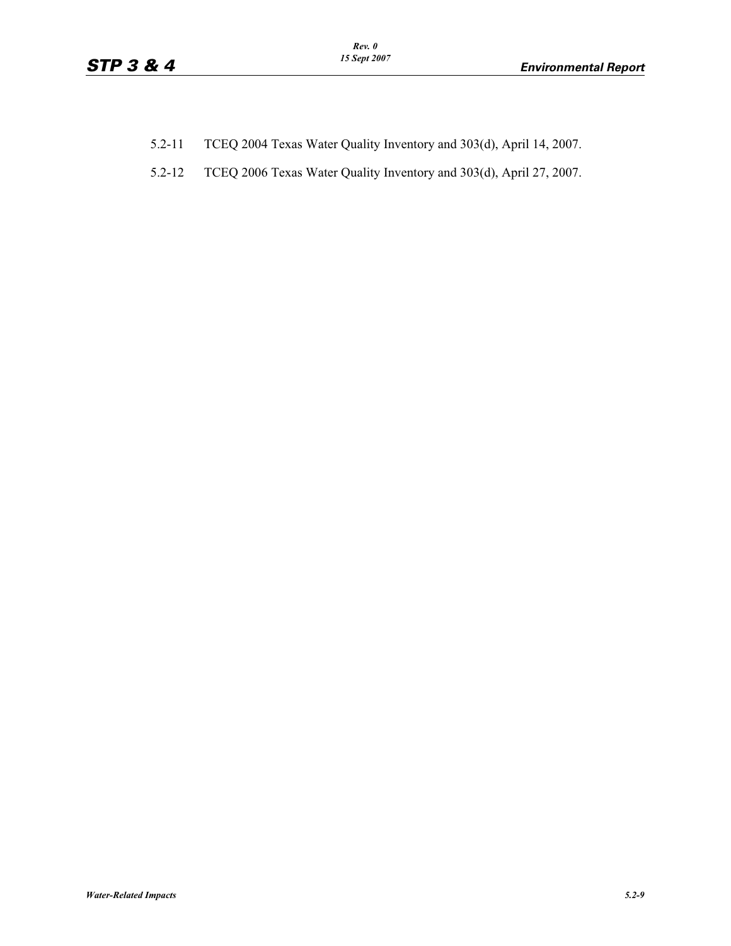- 5.2-11 TCEQ 2004 Texas Water Quality Inventory and 303(d), April 14, 2007.
- 5.2-12 TCEQ 2006 Texas Water Quality Inventory and 303(d), April 27, 2007.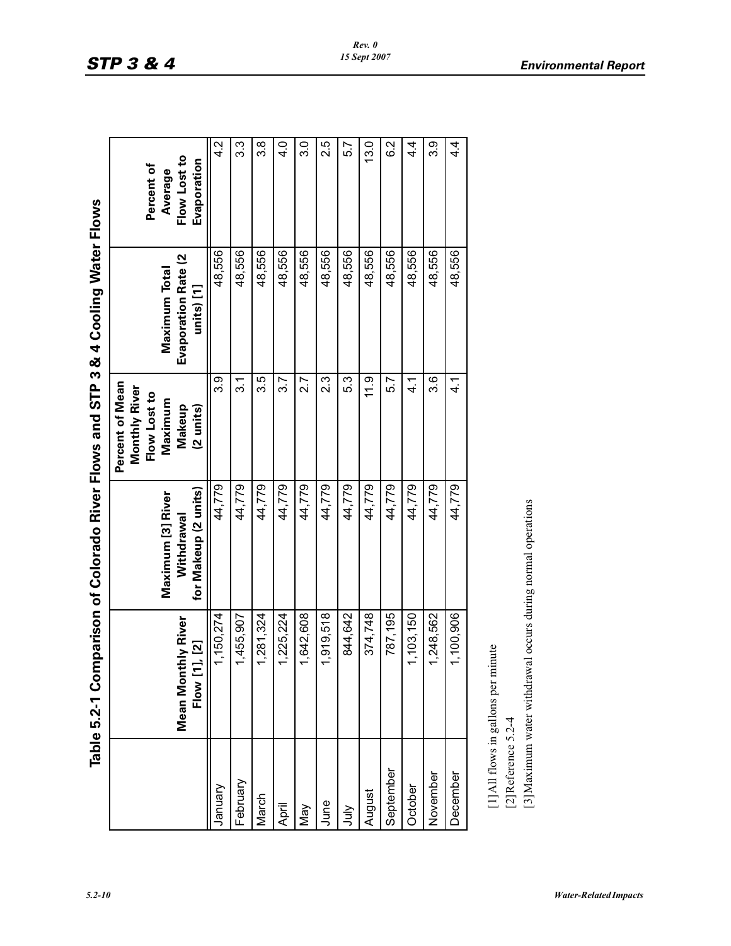| g Wate <sup>r</sup>                                      |
|----------------------------------------------------------|
|                                                          |
|                                                          |
|                                                          |
|                                                          |
|                                                          |
|                                                          |
|                                                          |
|                                                          |
|                                                          |
|                                                          |
| Comparison of Colorado River Flows and STP 3 & 4 Cooling |
|                                                          |
|                                                          |
| $l$ e 5.2-1 C                                            |
|                                                          |

|                    | Table 5.2-1 Comparison of Colorado River Flows and STP 3 & 4 Cooling Water Flows                    |                                                         |                                                                                              |                                                    |                                                      |
|--------------------|-----------------------------------------------------------------------------------------------------|---------------------------------------------------------|----------------------------------------------------------------------------------------------|----------------------------------------------------|------------------------------------------------------|
|                    | Mean Monthly River<br>1, 21<br>Flow [1                                                              | for Makeup (2 units)<br>Maximum [3] River<br>Withdrawal | Percent of Mean<br>Monthly River<br>Flow Lost to<br>Maximum<br>Makeup<br>$(2 \text{ units})$ | Evaporation Rate (2<br>Maximum Total<br>units) [1] | Flow Lost to<br>Evaporation<br>Percent of<br>Average |
| January            | 1,150,274                                                                                           | 44,779                                                  | თ<br>თ                                                                                       | 48,556                                             | 4.2                                                  |
| February           | 1,455,907                                                                                           | 44,779                                                  | $\overline{3}$ .1                                                                            | 48,556                                             | 3.3                                                  |
| March              | 1,281,324                                                                                           | 44,779                                                  | 3.5                                                                                          | 48,556                                             | 3.8                                                  |
| April              | 1,225,224                                                                                           | 44,779                                                  | 3.7                                                                                          | 48,556                                             | 4.0                                                  |
| Vay                | 1,642,608                                                                                           | 44,779                                                  | 2.7                                                                                          | 48,556                                             | c.c                                                  |
| June               | 1,919,518                                                                                           | 44,779                                                  | 2.3                                                                                          | 48,556                                             | 2.5                                                  |
| <b>Sult</b>        | 844,642                                                                                             | 44,779                                                  | 5.3                                                                                          | 48,556                                             | 5.7                                                  |
| August             | 374,748                                                                                             | 44,779                                                  | 11.9                                                                                         | 48,556                                             | 13.0                                                 |
| September          | 787,195                                                                                             | 44,779                                                  | 5.7                                                                                          | 48,556                                             | 6.2                                                  |
| October            | 1,103,150                                                                                           | 44,779                                                  | ্য<br>ব                                                                                      | 48,556                                             | 4.<br>4                                              |
| November           | 1,248,562                                                                                           | 44,779                                                  | 3.6                                                                                          | 48,556                                             | 3.9                                                  |
| December           | 1,100,906                                                                                           | 44,779                                                  | ন<br>ব                                                                                       | 48,556                                             | 4.<br>4                                              |
| [2]Reference 5.2-4 | [3] Maximum water withdrawal occurs during normal operations<br>[1] All flows in gallons per minute |                                                         |                                                                                              |                                                    |                                                      |
|                    |                                                                                                     |                                                         |                                                                                              |                                                    |                                                      |